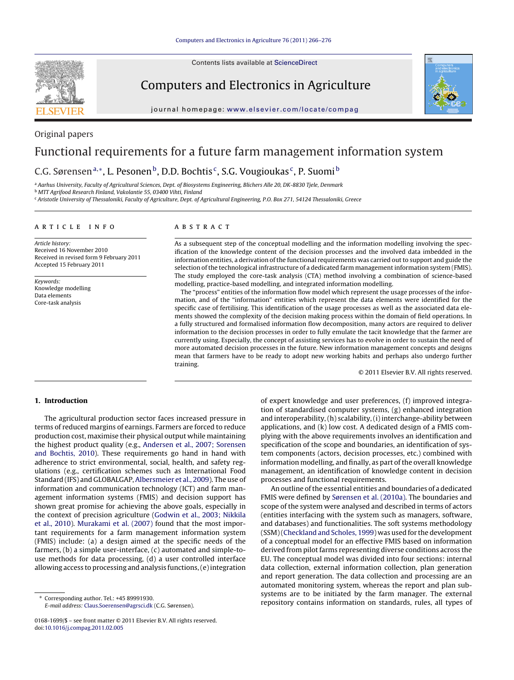Contents lists available at [ScienceDirect](http://www.sciencedirect.com/science/journal/01681699)



Computers and Electronics in Agriculture

journal homepage: [www.elsevier.com/locate/compag](http://www.elsevier.com/locate/compag)



## Original papers Functional requirements for a future farm management information system

C.G. Sørensen<sup>a,∗</sup>, L. Pesonen<sup>b</sup>, D.D. Bochtis<sup>c</sup>, S.G. Vougioukas<sup>c</sup>, P. Suomi<sup>b</sup>

<sup>a</sup> Aarhus University, Faculty of Agricultural Sciences, Dept. of Biosystems Engineering, Blichers Alle 20, DK-8830 Tjele, Denmark

<sup>b</sup> MTT Agrifood Research Finland, Vakolantie 55, 03400 Vihti, Finland

<sup>c</sup> Aristotle University of Thessaloniki, Faculty of Agriculture, Dept. of Agricultural Engineering, P.O. Box 271, 54124 Thessaloniki, Greece

#### article info

**ABSTRACT** 

Article history: Received 16 November 2010 Received in revised form 9 February 2011 Accepted 15 February 2011

Keywords: Knowledge modelling Data elements Core-task analysis

As a subsequent step of the conceptual modelling and the information modelling involving the specification of the knowledge content of the decision processes and the involved data imbedded in the information entities, a derivation of the functional requirements was carried out to support and guide the selection of the technological infrastructure of a dedicated farm management information system (FMIS). The study employed the core-task analysis (CTA) method involving a combination of science-based modelling, practice-based modelling, and integrated information modelling.

The "process" entities of the information flow model which represent the usage processes of the information, and of the "information" entities which represent the data elements were identified for the specific case of fertilising. This identification of the usage processes as well as the associated data elements showed the complexity of the decision making process within the domain of field operations. In a fully structured and formalised information flow decomposition, many actors are required to deliver information to the decision processes in order to fully emulate the tacit knowledge that the farmer are currently using. Especially, the concept of assisting services has to evolve in order to sustain the need of more automated decision processes in the future. New information management concepts and designs mean that farmers have to be ready to adopt new working habits and perhaps also undergo further training.

© 2011 Elsevier B.V. All rights reserved.

### **1. Introduction**

The agricultural production sector faces increased pressure in terms of reduced margins of earnings. Farmers are forced to reduce production cost, maximise their physical output while maintaining the highest product quality (e.g., [Andersen et al., 2007; Sorensen](#page--1-0) [and Bochtis, 2010\).](#page--1-0) These requirements go hand in hand with adherence to strict environmental, social, health, and safety regulations (e.g., certification schemes such as International Food Standard (IFS) and GLOBALGAP, [Albersmeier et al., 2009\).](#page--1-0) The use of information and communication technology (ICT) and farm management information systems (FMIS) and decision support has shown great promise for achieving the above goals, especially in the context of precision agriculture ([Godwin et al., 2003; Nikkila](#page--1-0) [et al., 2010\).](#page--1-0) [Murakami et al. \(2007\)](#page--1-0) found that the most important requirements for a farm management information system (FMIS) include: (a) a design aimed at the specific needs of the farmers, (b) a simple user-interface, (c) automated and simple-touse methods for data processing, (d) a user controlled interface allowing access to processing and analysis functions, (e) integration

∗ Corresponding author. Tel.: +45 89991930. E-mail address: [Claus.Soerensen@agrsci.dk](mailto:Claus.Soerensen@agrsci.dk) (C.G. Sørensen). of expert knowledge and user preferences, (f) improved integration of standardised computer systems, (g) enhanced integration and interoperability, (h) scalability, (i) interchange-ability between applications, and (k) low cost. A dedicated design of a FMIS complying with the above requirements involves an identification and specification of the scope and boundaries, an identification of system components (actors, decision processes, etc.) combined with information modelling, and finally, as part of the overall knowledge management, an identification of knowledge content in decision processes and functional requirements.

An outline of the essential entities and boundaries of a dedicated FMIS were defined by [Sørensen et al. \(2010a\). T](#page--1-0)he boundaries and scope of the system were analysed and described in terms of actors (entities interfacing with the system such as managers, software, and databases) and functionalities. The soft systems methodology (SSM) [\(Checkland and Scholes, 1999\) w](#page--1-0)as used for the development of a conceptual model for an effective FMIS based on information derived from pilot farms representing diverse conditions across the EU. The conceptual model was divided into four sections: internal data collection, external information collection, plan generation and report generation. The data collection and processing are an automated monitoring system, whereas the report and plan subsystems are to be initiated by the farm manager. The external repository contains information on standards, rules, all types of

<sup>0168-1699/\$ –</sup> see front matter © 2011 Elsevier B.V. All rights reserved. doi:[10.1016/j.compag.2011.02.005](dx.doi.org/10.1016/j.compag.2011.02.005)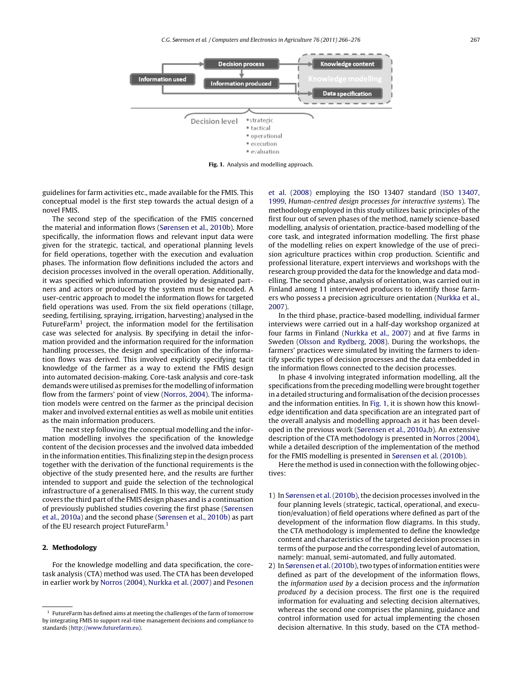C.G. Sørensen et al. / Computers and Electronics in Agriculture *76 (2011) 266–276* 267



**Fig. 1.** Analysis and modelling approach.

guidelines for farm activities etc., made available for the FMIS. This conceptual model is the first step towards the actual design of a novel FMIS.

The second step of the specification of the FMIS concerned the material and information flows ([Sørensen et al., 2010b\).](#page--1-0) More specifically, the information flows and relevant input data were given for the strategic, tactical, and operational planning levels for field operations, together with the execution and evaluation phases. The information flow definitions included the actors and decision processes involved in the overall operation. Additionally, it was specified which information provided by designated partners and actors or produced by the system must be encoded. A user-centric approach to model the information flows for targeted field operations was used. From the six field operations (tillage, seeding, fertilising, spraying, irrigation, harvesting) analysed in the FutureFarm<sup>1</sup> project, the information model for the fertilisation case was selected for analysis. By specifying in detail the information provided and the information required for the information handling processes, the design and specification of the information flows was derived. This involved explicitly specifying tacit knowledge of the farmer as a way to extend the FMIS design into automated decision-making. Core-task analysis and core-task demands were utilised as premises for themodelling of information flow from the farmers' point of view ([Norros, 2004\).](#page--1-0) The information models were centred on the farmer as the principal decision maker and involved external entities as well as mobile unit entities as the main information producers.

The next step following the conceptual modelling and the information modelling involves the specification of the knowledge content of the decision processes and the involved data imbedded in the information entities. This finalizing step in the design process together with the derivation of the functional requirements is the objective of the study presented here, and the results are further intended to support and guide the selection of the technological infrastructure of a generalised FMIS. In this way, the current study covers the third part of the FMIS design phases and is a continuation of previously published studies covering the first phase ([Sørensen](#page--1-0) [et al., 2010a\) a](#page--1-0)nd the second phase ([Sørensen et al., 2010b\) a](#page--1-0)s part of the EU research project FutureFarm.1

#### **2. Methodology**

For the knowledge modelling and data specification, the coretask analysis (CTA) method was used. The CTA has been developed in earlier work by [Norros \(2004\),](#page--1-0) [Nurkka et al. \(2007\)](#page--1-0) and [Pesonen](#page--1-0) [et al. \(2008\)](#page--1-0) employing the ISO 13407 standard [\(ISO 13407,](#page--1-0) [1999,](#page--1-0) Human-centred design processes for interactive systems). The methodology employed in this study utilizes basic principles of the first four out of seven phases of the method, namely science-based modelling, analysis of orientation, practice-based modelling of the core task, and integrated information modelling. The first phase of the modelling relies on expert knowledge of the use of precision agriculture practices within crop production. Scientific and professional literature, expert interviews and workshops with the research group provided the data for the knowledge and data modelling. The second phase, analysis of orientation, was carried out in Finland among 11 interviewed producers to identify those farmers who possess a precision agriculture orientation [\(Nurkka et al.,](#page--1-0) [2007\).](#page--1-0)

In the third phase, practice-based modelling, individual farmer interviews were carried out in a half-day workshop organized at four farms in Finland ([Nurkka et al., 2007\)](#page--1-0) and at five farms in Sweden ([Olsson and Rydberg, 2008\).](#page--1-0) During the workshops, the farmers' practices were simulated by inviting the farmers to identify specific types of decision processes and the data embedded in the information flows connected to the decision processes.

In phase 4 involving integrated information modelling, all the specifications from the preceding modelling were brought together in a detailed structuring and formalisation of the decision processes and the information entities. In Fig. 1, it is shown how this knowledge identification and data specification are an integrated part of the overall analysis and modelling approach as it has been developed in the previous work [\(Sørensen et al., 2010a,b\).](#page--1-0) An extensive description of the CTA methodology is presented in [Norros \(2004\),](#page--1-0) while a detailed description of the implementation of the method for the FMIS modelling is presented in [Sørensen et al. \(2010b\).](#page--1-0)

Here the method is used in connection with the following objectives:

- 1) In [Sørensen et al. \(2010b\), t](#page--1-0)he decision processes involved in the four planning levels (strategic, tactical, operational, and execution/evaluation) of field operations where defined as part of the development of the information flow diagrams. In this study, the CTA methodology is implemented to define the knowledge content and characteristics of the targeted decision processes in terms of the purpose and the corresponding level of automation, namely: manual, semi-automated, and fully automated.
- 2) In [Sørensen et al. \(2010b\), t](#page--1-0)wo types of information entities were defined as part of the development of the information flows, the information used by a decision process and the information produced by a decision process. The first one is the required information for evaluating and selecting decision alternatives, whereas the second one comprises the planning, guidance and control information used for actual implementing the chosen decision alternative. In this study, based on the CTA method-

 $^{\rm 1}$  FutureFarm has defined aims at meeting the challenges of the farm of tomorrow by integrating FMIS to support real-time management decisions and compliance to standards ([http://www.futurefarm.eu\)](http://www.futurefarm.eu/).